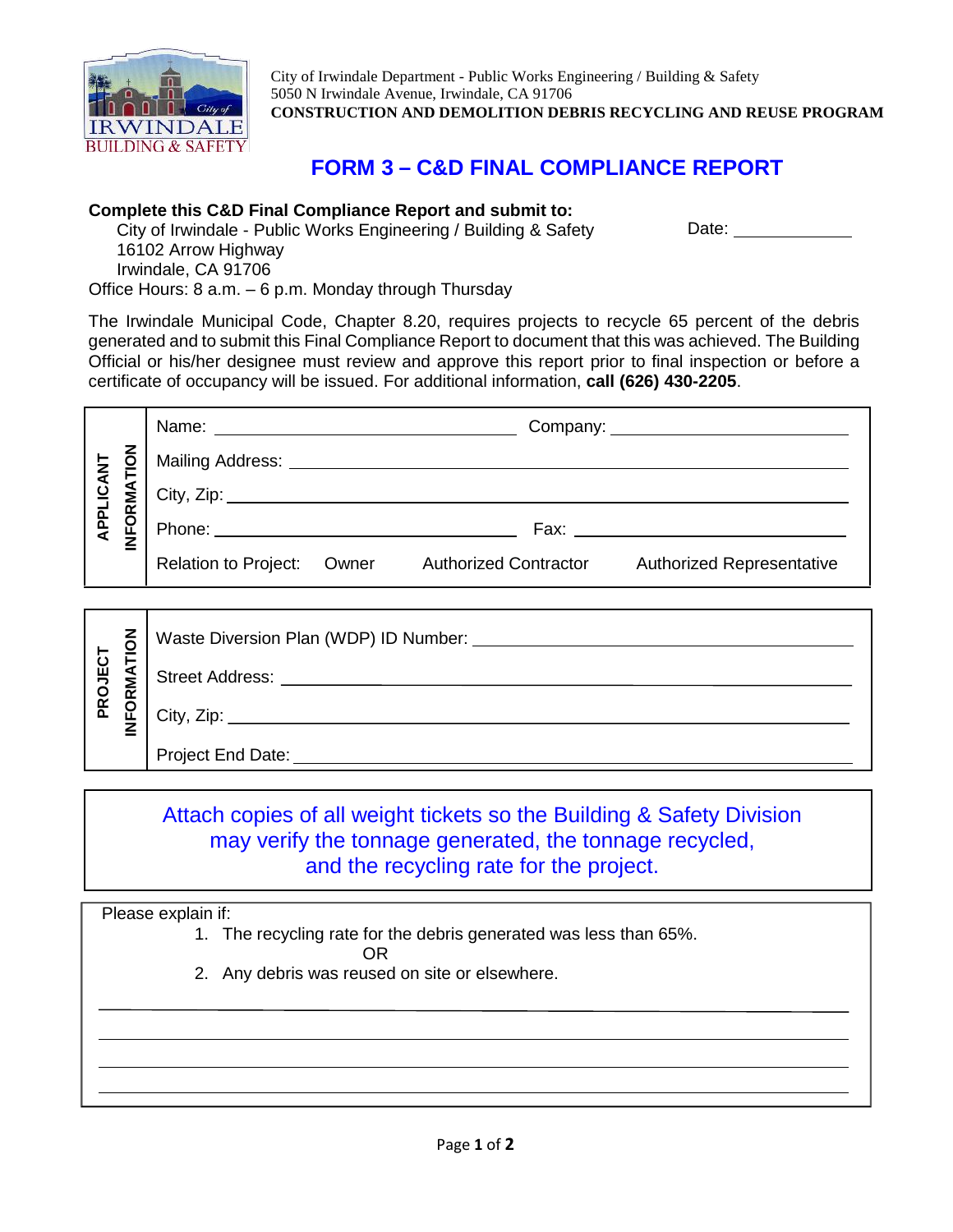

City of Irwindale Department - Public Works Engineering / Building & Safety 5050 N Irwindale Avenue, Irwindale, CA 91706 **CONSTRUCTION AND DEMOLITION DEBRIS RECYCLING AND REUSE PROGRAM**

Date: **Date:** 

## **FORM 3 – C&D FINAL COMPLIANCE REPORT**

## **Complete this C&D Final Compliance Report and submit to:**

City of Irwindale - Public Works Engineering / Building & Safety 16102 Arrow Highway Irwindale, CA 91706 Office Hours: 8 a.m. – 6 p.m. Monday through Thursday

The Irwindale Municipal Code, Chapter 8.20, requires projects to recycle 65 percent of the debris generated and to submit this Final Compliance Report to document that this was achieved. The Building Official or his/her designee must review and approve this report prior to final inspection or before a certificate of occupancy will be issued. For additional information, **call (626) 430-2205**.

| $\overline{6}$               |                             |       |                              |                                                                                                                                                                                                                                |
|------------------------------|-----------------------------|-------|------------------------------|--------------------------------------------------------------------------------------------------------------------------------------------------------------------------------------------------------------------------------|
| APPLICANT<br><b>INFORMAT</b> | City, Zip:                  |       |                              |                                                                                                                                                                                                                                |
|                              |                             |       |                              | Fax: Figure 2014 and the contract of the contract of the contract of the contract of the contract of the contract of the contract of the contract of the contract of the contract of the contract of the contract of the contr |
|                              | <b>Relation to Project:</b> | Owner | <b>Authorized Contractor</b> | <b>Authorized Representative</b>                                                                                                                                                                                               |
|                              |                             |       |                              |                                                                                                                                                                                                                                |

| z<br>ō             | Waste Diversion Plan (WDP) ID Number: |
|--------------------|---------------------------------------|
| IECT<br>⋖<br>Σ     | Street Address:                       |
| PROJ<br><b>FOR</b> | City, $\mathsf{Zip:} \_$              |
|                    | Project End Date:                     |

## Attach copies of all weight tickets so the Building & Safety Division may verify the tonnage generated, the tonnage recycled, and the recycling rate for the project.

Please explain if:

1. The recycling rate for the debris generated was less than 65%.

OR

2. Any debris was reused on site or elsewhere.